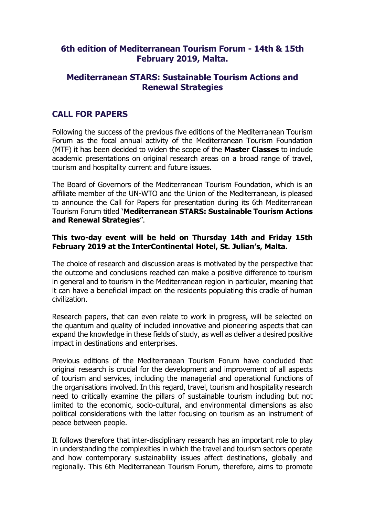# **6th edition of Mediterranean Tourism Forum - 14th & 15th February 2019, Malta.**

# **Mediterranean STARS: Sustainable Tourism Actions and Renewal Strategies**

# **CALL FOR PAPERS**

Following the success of the previous five editions of the Mediterranean Tourism Forum as the focal annual activity of the Mediterranean Tourism Foundation (MTF) it has been decided to widen the scope of the **Master Classes** to include academic presentations on original research areas on a broad range of travel, tourism and hospitality current and future issues.

The Board of Governors of the Mediterranean Tourism Foundation, which is an affiliate member of the UN-WTO and the Union of the Mediterranean, is pleased to announce the Call for Papers for presentation during its 6th Mediterranean Tourism Forum titled '**Mediterranean STARS: Sustainable Tourism Actions and Renewal Strategies**".

#### **This two-day event will be held on Thursday 14th and Friday 15th February 2019 at the InterContinental Hotel, St. Julian's, Malta.**

The choice of research and discussion areas is motivated by the perspective that the outcome and conclusions reached can make a positive difference to tourism in general and to tourism in the Mediterranean region in particular, meaning that it can have a beneficial impact on the residents populating this cradle of human civilization.

Research papers, that can even relate to work in progress, will be selected on the quantum and quality of included innovative and pioneering aspects that can expand the knowledge in these fields of study, as well as deliver a desired positive impact in destinations and enterprises.

Previous editions of the Mediterranean Tourism Forum have concluded that original research is crucial for the development and improvement of all aspects of tourism and services, including the managerial and operational functions of the organisations involved. In this regard, travel, tourism and hospitality research need to critically examine the pillars of sustainable tourism including but not limited to the economic, socio-cultural, and environmental dimensions as also political considerations with the latter focusing on tourism as an instrument of peace between people.

It follows therefore that inter-disciplinary research has an important role to play in understanding the complexities in which the travel and tourism sectors operate and how contemporary sustainability issues affect destinations, globally and regionally. This 6th Mediterranean Tourism Forum, therefore, aims to promote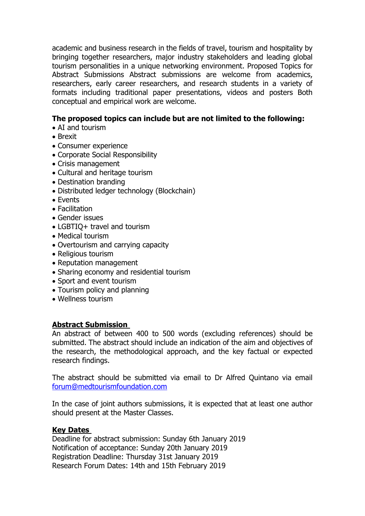academic and business research in the fields of travel, tourism and hospitality by bringing together researchers, major industry stakeholders and leading global tourism personalities in a unique networking environment. Proposed Topics for Abstract Submissions Abstract submissions are welcome from academics, researchers, early career researchers, and research students in a variety of formats including traditional paper presentations, videos and posters Both conceptual and empirical work are welcome.

## **The proposed topics can include but are not limited to the following:**

- AI and tourism
- Brexit
- Consumer experience
- Corporate Social Responsibility
- Crisis management
- Cultural and heritage tourism
- Destination branding
- Distributed ledger technology (Blockchain)
- Events
- Facilitation
- Gender issues
- LGBTIQ+ travel and tourism
- Medical tourism
- Overtourism and carrying capacity
- Religious tourism
- Reputation management
- Sharing economy and residential tourism
- Sport and event tourism
- Tourism policy and planning
- Wellness tourism

## **Abstract Submission**

An abstract of between 400 to 500 words (excluding references) should be submitted. The abstract should include an indication of the aim and objectives of the research, the methodological approach, and the key factual or expected research findings.

The abstract should be submitted via email to Dr Alfred Quintano via email [forum@medtourismfoundation.com](mailto:forum@medtourismfoundation.com)

In the case of joint authors submissions, it is expected that at least one author should present at the Master Classes.

## **Key Dates**

Deadline for abstract submission: Sunday 6th January 2019 Notification of acceptance: Sunday 20th January 2019 Registration Deadline: Thursday 31st January 2019 Research Forum Dates: 14th and 15th February 2019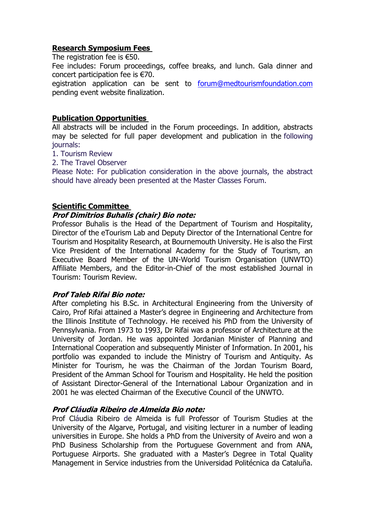## **Research Symposium Fees**

The registration fee is €50.

Fee includes: Forum proceedings, coffee breaks, and lunch. Gala dinner and concert participation fee is €70.

egistration application can be sent to [forum@medtourismfoundation.com](mailto:forum@medtourismfoundation.com) pending event website finalization.

### **Publication Opportunities**

All abstracts will be included in the Forum proceedings. In addition, abstracts may be selected for full paper development and publication in the following journals:

- 1. Tourism Review
- 2. The Travel Observer

Please Note: For publication consideration in the above journals, the abstract should have already been presented at the Master Classes Forum.

#### **Scientific Committee**

#### **Prof Dimitrios Buhalis (chair) Bio note:**

Professor Buhalis is the Head of the Department of Tourism and Hospitality, Director of the eTourism Lab and Deputy Director of the International Centre for Tourism and Hospitality Research, at Bournemouth University. He is also the First Vice President of the International Academy for the Study of Tourism, an Executive Board Member of the UN-World Tourism Organisation (UNWTO) Affiliate Members, and the Editor-in-Chief of the most established Journal in Tourism: Tourism Review.

#### **Prof Taleb Rifai Bio note:**

After completing his B.Sc. in Architectural Engineering from the University of Cairo, Prof Rifai attained a Master's degree in Engineering and Architecture from the Illinois Institute of Technology. He received his PhD from the University of Pennsylvania. From 1973 to 1993, Dr Rifai was a professor of Architecture at the University of Jordan. He was appointed Jordanian Minister of Planning and International Cooperation and subsequently Minister of Information. In 2001, his portfolio was expanded to include the Ministry of Tourism and Antiquity. As Minister for Tourism, he was the Chairman of the Jordan Tourism Board, President of the Amman School for Tourism and Hospitality. He held the position of Assistant Director-General of the International Labour Organization and in 2001 he was elected Chairman of the Executive Council of the UNWTO.

#### **Prof Cláudia Ribeiro de Almeida Bio note:**

Prof Cláudia Ribeiro de Almeida is full Professor of Tourism Studies at the University of the Algarve, Portugal, and visiting lecturer in a number of leading universities in Europe. She holds a PhD from the University of Aveiro and won a PhD Business Scholarship from the Portuguese Government and from ANA, Portuguese Airports. She graduated with a Master's Degree in Total Quality Management in Service industries from the Universidad Politécnica da Cataluña.